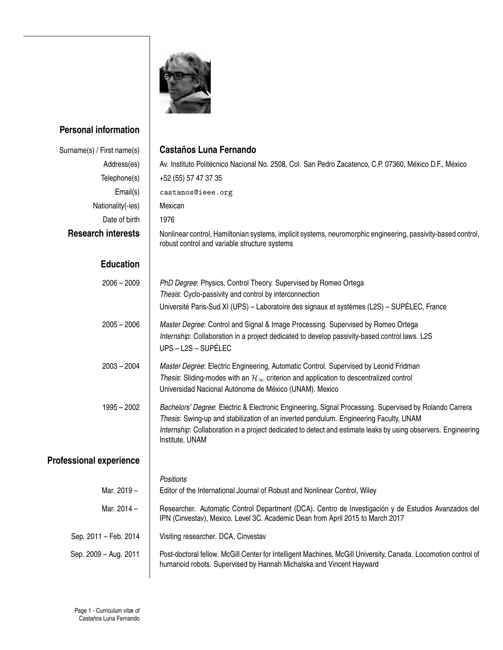

## **Personal information**

| Surname(s) / First name(s)     | <b>Castaños Luna Fernando</b>                                                                                                                                                                                                                                                                                                       |
|--------------------------------|-------------------------------------------------------------------------------------------------------------------------------------------------------------------------------------------------------------------------------------------------------------------------------------------------------------------------------------|
| Address(es)                    | Av. Instituto Politécnico Nacional No. 2508, Col. San Pedro Zacatenco, C.P. 07360, México D.F., México                                                                                                                                                                                                                              |
| Telephone(s)                   | +52 (55) 57 47 37 35                                                                                                                                                                                                                                                                                                                |
| Email(s)                       | castanos@ieee.org                                                                                                                                                                                                                                                                                                                   |
| Nationality(-ies)              | Mexican                                                                                                                                                                                                                                                                                                                             |
| Date of birth                  | 1976                                                                                                                                                                                                                                                                                                                                |
| <b>Research interests</b>      | Nonlinear control, Hamiltonian systems, implicit systems, neuromorphic engineering, passivity-based control,<br>robust control and variable structure systems                                                                                                                                                                       |
| <b>Education</b>               |                                                                                                                                                                                                                                                                                                                                     |
| $2006 - 2009$                  | PhD Degree: Physics, Control Theory. Supervised by Romeo Ortega                                                                                                                                                                                                                                                                     |
|                                | Thesis: Cyclo-passivity and control by interconnection                                                                                                                                                                                                                                                                              |
|                                | Université Paris-Sud XI (UPS) - Laboratoire des signaux et systèmes (L2S) - SUPÉLEC, France                                                                                                                                                                                                                                         |
| $2005 - 2006$                  | Master Degree: Control and Signal & Image Processing. Supervised by Romeo Ortega                                                                                                                                                                                                                                                    |
|                                | Internship: Collaboration in a project dedicated to develop passivity-based control laws. L2S<br>UPS - L2S - SUPÉLEC                                                                                                                                                                                                                |
| $2003 - 2004$                  | Master Degree: Electric Engineering, Automatic Control. Supervised by Leonid Fridman                                                                                                                                                                                                                                                |
|                                | Thesis: Sliding-modes with an $\mathcal{H}_{\infty}$ criterion and application to descentralized control                                                                                                                                                                                                                            |
|                                | Universidad Nacional Autónoma de México (UNAM). Mexico                                                                                                                                                                                                                                                                              |
| $1995 - 2002$                  | Bachelors' Degree: Electric & Electronic Engineering, Signal Processing. Supervised by Rolando Carrera<br>Thesis: Swing-up and stabilization of an inverted pendulum. Engineering Faculty, UNAM<br>Internship: Collaboration in a project dedicated to detect and estimate leaks by using observers. Engineering<br>Institute, UNAM |
| <b>Professional experience</b> |                                                                                                                                                                                                                                                                                                                                     |
|                                | Positions                                                                                                                                                                                                                                                                                                                           |
| Mar. 2019 -                    | Editor of the International Journal of Robust and Nonlinear Control, Wiley                                                                                                                                                                                                                                                          |
| Mar. 2014 -                    | Researcher. Automatic Control Department (DCA). Centro de Investigación y de Estudios Avanzados del<br>IPN (Cinvestav), Mexico. Level 3C. Academic Dean from April 2015 to March 2017                                                                                                                                               |
| Sep. 2011 - Feb. 2014          | Visiting researcher. DCA, Cinvestav                                                                                                                                                                                                                                                                                                 |
| Sep. 2009 - Aug. 2011          | Post-doctoral fellow. McGill Center for Intelligent Machines, McGill University, Canada. Locomotion control of<br>humanoid robots. Supervised by Hannah Michalska and Vincent Hayward                                                                                                                                               |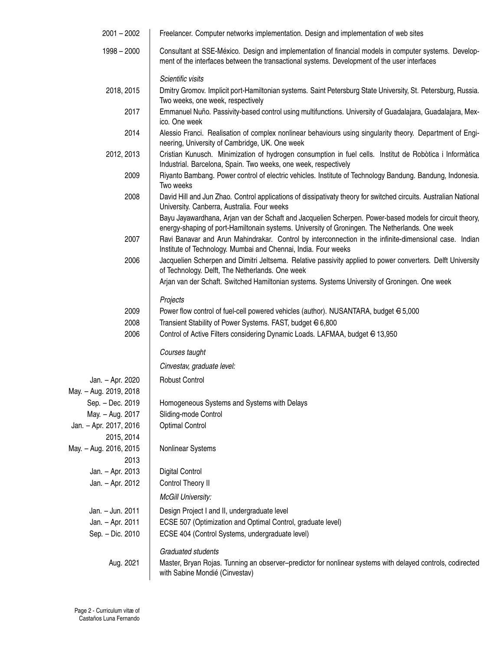| $2001 - 2002$          | Freelancer. Computer networks implementation. Design and implementation of web sites                                                                                                                                                                                                                                |
|------------------------|---------------------------------------------------------------------------------------------------------------------------------------------------------------------------------------------------------------------------------------------------------------------------------------------------------------------|
| $1998 - 2000$          | Consultant at SSE-México. Design and implementation of financial models in computer systems. Develop-<br>ment of the interfaces between the transactional systems. Development of the user interfaces                                                                                                               |
|                        | Scientific visits                                                                                                                                                                                                                                                                                                   |
| 2018, 2015             | Dmitry Gromov. Implicit port-Hamiltonian systems. Saint Petersburg State University, St. Petersburg, Russia.<br>Two weeks, one week, respectively                                                                                                                                                                   |
| 2017                   | Emmanuel Nuño. Passivity-based control using multifunctions. University of Guadalajara, Guadalajara, Mex-<br>ico. One week                                                                                                                                                                                          |
| 2014                   | Alessio Franci. Realisation of complex nonlinear behaviours using singularity theory. Department of Engi-<br>neering, University of Cambridge, UK. One week                                                                                                                                                         |
| 2012, 2013             | Cristian Kunusch. Minimization of hydrogen consumption in fuel cells. Institut de Robòtica i Informàtica<br>Industrial. Barcelona, Spain. Two weeks, one week, respectively                                                                                                                                         |
| 2009                   | Riyanto Bambang. Power control of electric vehicles. Institute of Technology Bandung. Bandung, Indonesia.<br>Two weeks                                                                                                                                                                                              |
| 2008                   | David Hill and Jun Zhao. Control applications of dissipativaty theory for switched circuits. Australian National<br>University. Canberra, Australia. Four weeks                                                                                                                                                     |
| 2007                   | Bayu Jayawardhana, Arjan van der Schaft and Jacquelien Scherpen. Power-based models for circuit theory,<br>energy-shaping of port-Hamiltonain systems. University of Groningen. The Netherlands. One week<br>Ravi Banavar and Arun Mahindrakar. Control by interconnection in the infinite-dimensional case. Indian |
|                        | Institute of Technology. Mumbai and Chennai, India. Four weeks                                                                                                                                                                                                                                                      |
| 2006                   | Jacquelien Scherpen and Dimitri Jeltsema. Relative passivity applied to power converters. Delft University<br>of Technology. Delft, The Netherlands. One week                                                                                                                                                       |
|                        | Arjan van der Schaft. Switched Hamiltonian systems. Systems University of Groningen. One week                                                                                                                                                                                                                       |
|                        | Projects                                                                                                                                                                                                                                                                                                            |
| 2009                   | Power flow control of fuel-cell powered vehicles (author). NUSANTARA, budget € 5,000                                                                                                                                                                                                                                |
| 2008                   | Transient Stability of Power Systems. FAST, budget € 6,800                                                                                                                                                                                                                                                          |
| 2006                   | Control of Active Filters considering Dynamic Loads. LAFMAA, budget € 13,950                                                                                                                                                                                                                                        |
|                        | Courses taught                                                                                                                                                                                                                                                                                                      |
|                        | Cinvestav, graduate level:                                                                                                                                                                                                                                                                                          |
| Jan. - Apr. 2020       | <b>Robust Control</b>                                                                                                                                                                                                                                                                                               |
| May. - Aug. 2019, 2018 |                                                                                                                                                                                                                                                                                                                     |
| Sep. - Dec. 2019       | Homogeneous Systems and Systems with Delays                                                                                                                                                                                                                                                                         |
| May. - Aug. 2017       | Sliding-mode Control                                                                                                                                                                                                                                                                                                |
| Jan. - Apr. 2017, 2016 | <b>Optimal Control</b>                                                                                                                                                                                                                                                                                              |
| 2015, 2014             |                                                                                                                                                                                                                                                                                                                     |
| May. - Aug. 2016, 2015 | Nonlinear Systems                                                                                                                                                                                                                                                                                                   |
| 2013                   |                                                                                                                                                                                                                                                                                                                     |
| Jan. - Apr. 2013       | <b>Digital Control</b>                                                                                                                                                                                                                                                                                              |
| Jan. - Apr. 2012       | Control Theory II                                                                                                                                                                                                                                                                                                   |
|                        | <b>McGill University:</b>                                                                                                                                                                                                                                                                                           |
| Jan. - Jun. 2011       | Design Project I and II, undergraduate level                                                                                                                                                                                                                                                                        |
| Jan. - Apr. 2011       | ECSE 507 (Optimization and Optimal Control, graduate level)                                                                                                                                                                                                                                                         |
| Sep. - Dic. 2010       | ECSE 404 (Control Systems, undergraduate level)                                                                                                                                                                                                                                                                     |
|                        | Graduated students                                                                                                                                                                                                                                                                                                  |
| Aug. 2021              | Master, Bryan Rojas. Tunning an observer-predictor for nonlinear systems with delayed controls, codirected<br>with Sabine Mondié (Cinvestav)                                                                                                                                                                        |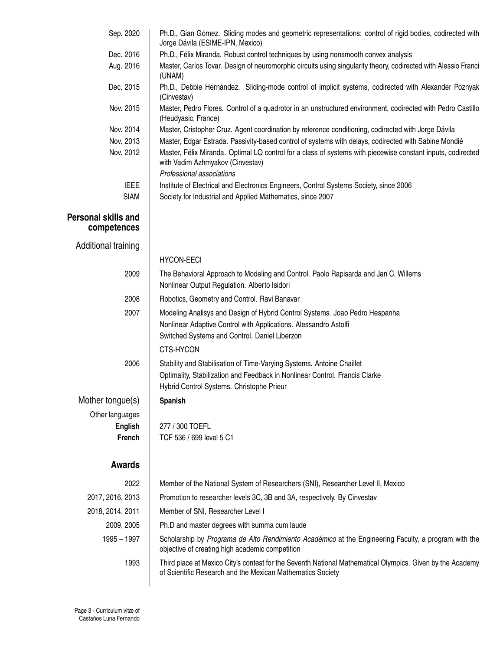| Sep. 2020                                 | Ph.D., Gian Gómez. Sliding modes and geometric representations: control of rigid bodies, codirected with<br>Jorge Dávila (ESIME-IPN, Mexico)                            |
|-------------------------------------------|-------------------------------------------------------------------------------------------------------------------------------------------------------------------------|
| Dec. 2016                                 | Ph.D., Félix Miranda. Robust control techniques by using nonsmooth convex analysis                                                                                      |
| Aug. 2016                                 | Master, Carlos Tovar. Design of neuromorphic circuits using singularity theory, codirected with Alessio Franci<br>(UNAM)                                                |
| Dec. 2015                                 | Ph.D., Debbie Hernández. Sliding-mode control of implicit systems, codirected with Alexander Poznyak<br>(Cinvestav)                                                     |
| Nov. 2015                                 | Master, Pedro Flores. Control of a quadrotor in an unstructured environment, codirected with Pedro Castillo<br>(Heudyasic, France)                                      |
| Nov. 2014                                 | Master, Cristopher Cruz. Agent coordination by reference conditioning, codirected with Jorge Dávila                                                                     |
| Nov. 2013                                 | Master, Edgar Estrada. Passivity-based control of systems with delays, codirected with Sabine Mondié                                                                    |
| Nov. 2012                                 | Master, Félix Miranda. Optimal LQ control for a class of systems with piecewise constant inputs, codirected<br>with Vadim Azhmyakov (Cinvestav)                         |
|                                           | Professional associations                                                                                                                                               |
| <b>IEEE</b><br><b>SIAM</b>                | Institute of Electrical and Electronics Engineers, Control Systems Society, since 2006<br>Society for Industrial and Applied Mathematics, since 2007                    |
|                                           |                                                                                                                                                                         |
| <b>Personal skills and</b><br>competences |                                                                                                                                                                         |
| Additional training                       |                                                                                                                                                                         |
|                                           | <b>HYCON-EECI</b>                                                                                                                                                       |
| 2009                                      | The Behavioral Approach to Modeling and Control. Paolo Rapisarda and Jan C. Willems                                                                                     |
|                                           | Nonlinear Output Regulation. Alberto Isidori                                                                                                                            |
| 2008                                      | Robotics, Geometry and Control. Ravi Banavar                                                                                                                            |
| 2007                                      | Modeling Analisys and Design of Hybrid Control Systems. Joao Pedro Hespanha                                                                                             |
|                                           | Nonlinear Adaptive Control with Applications. Alessandro Astolfi                                                                                                        |
|                                           | Switched Systems and Control. Daniel Liberzon                                                                                                                           |
|                                           | CTS-HYCON                                                                                                                                                               |
| 2006                                      | Stability and Stabilisation of Time-Varying Systems. Antoine Chaillet                                                                                                   |
|                                           | Optimality, Stabilization and Feedback in Nonlinear Control. Francis Clarke                                                                                             |
|                                           | Hybrid Control Systems. Christophe Prieur                                                                                                                               |
| Mother tongue(s)                          | <b>Spanish</b>                                                                                                                                                          |
| Other languages                           |                                                                                                                                                                         |
| <b>English</b>                            | 277 / 300 TOEFL                                                                                                                                                         |
| French                                    | TCF 536 / 699 level 5 C1                                                                                                                                                |
| <b>Awards</b>                             |                                                                                                                                                                         |
|                                           |                                                                                                                                                                         |
| 2022                                      | Member of the National System of Researchers (SNI), Researcher Level II, Mexico                                                                                         |
| 2017, 2016, 2013                          | Promotion to researcher levels 3C, 3B and 3A, respectively. By Cinvestav                                                                                                |
| 2018, 2014, 2011                          | Member of SNI, Researcher Level I                                                                                                                                       |
| 2009, 2005                                | Ph.D and master degrees with summa cum laude                                                                                                                            |
| $1995 - 1997$                             | Scholarship by Programa de Alto Rendimiento Académico at the Engineering Faculty, a program with the<br>objective of creating high academic competition                 |
| 1993                                      | Third place at Mexico City's contest for the Seventh National Mathematical Olympics. Given by the Academy<br>of Scientific Research and the Mexican Mathematics Society |
|                                           |                                                                                                                                                                         |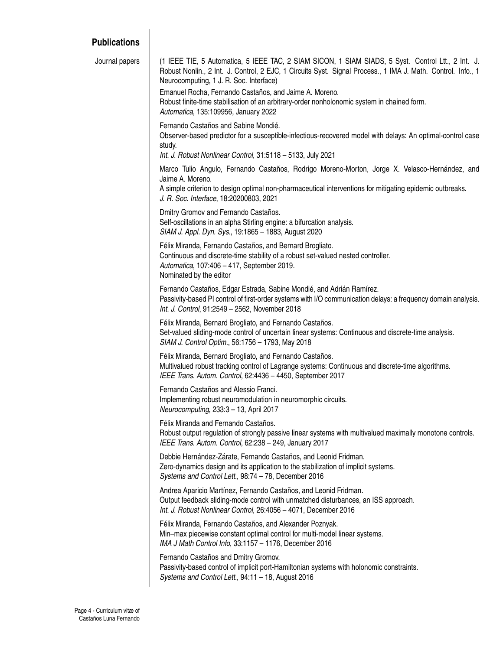## **Publications**

| Journal papers | (1 IEEE TIE, 5 Automatica, 5 IEEE TAC, 2 SIAM SICON, 1 SIAM SIADS, 5 Syst. Control Ltt., 2 Int. J.<br>Robust Nonlin., 2 Int. J. Control, 2 EJC, 1 Circuits Syst. Signal Process., 1 IMA J. Math. Control. Info., 1<br>Neurocomputing, 1 J. R. Soc. Interface) |
|----------------|---------------------------------------------------------------------------------------------------------------------------------------------------------------------------------------------------------------------------------------------------------------|
|                | Emanuel Rocha, Fernando Castaños, and Jaime A. Moreno.<br>Robust finite-time stabilisation of an arbitrary-order nonholonomic system in chained form.<br>Automatica, 135:109956, January 2022                                                                 |
|                | Fernando Castaños and Sabine Mondié.<br>Observer-based predictor for a susceptible-infectious-recovered model with delays: An optimal-control case<br>study.                                                                                                  |
|                | Int. J. Robust Nonlinear Control, 31:5118 - 5133, July 2021                                                                                                                                                                                                   |
|                | Marco Tulio Angulo, Fernando Castaños, Rodrigo Moreno-Morton, Jorge X. Velasco-Hernández, and<br>Jaime A. Moreno.                                                                                                                                             |
|                | A simple criterion to design optimal non-pharmaceutical interventions for mitigating epidemic outbreaks.<br>J. R. Soc. Interface, 18:20200803, 2021                                                                                                           |
|                | Dmitry Gromov and Fernando Castaños.                                                                                                                                                                                                                          |
|                | Self-oscillations in an alpha Stirling engine: a bifurcation analysis.<br>SIAM J. Appl. Dyn. Sys., 19:1865 - 1883, August 2020                                                                                                                                |
|                | Félix Miranda, Fernando Castaños, and Bernard Brogliato.                                                                                                                                                                                                      |
|                | Continuous and discrete-time stability of a robust set-valued nested controller.<br>Automatica, 107:406 - 417, September 2019.                                                                                                                                |
|                | Nominated by the editor                                                                                                                                                                                                                                       |
|                | Fernando Castaños, Edgar Estrada, Sabine Mondié, and Adrián Ramírez.<br>Passivity-based PI control of first-order systems with I/O communication delays: a frequency domain analysis.<br>Int. J. Control, 91:2549 - 2562, November 2018                       |
|                | Félix Miranda, Bernard Brogliato, and Fernando Castaños.<br>Set-valued sliding-mode control of uncertain linear systems: Continuous and discrete-time analysis.<br>SIAM J. Control Optim., 56:1756 - 1793, May 2018                                           |
|                | Félix Miranda, Bernard Brogliato, and Fernando Castaños.<br>Multivalued robust tracking control of Lagrange systems: Continuous and discrete-time algorithms.<br>IEEE Trans. Autom. Control, 62:4436 - 4450, September 2017                                   |
|                | Fernando Castaños and Alessio Franci.<br>Implementing robust neuromodulation in neuromorphic circuits.<br>Neurocomputing, 233:3 - 13, April 2017                                                                                                              |
|                | Félix Miranda and Fernando Castaños.<br>Robust output regulation of strongly passive linear systems with multivalued maximally monotone controls.<br>IEEE Trans. Autom. Control, 62:238 - 249, January 2017                                                   |
|                | Debbie Hernández-Zárate, Fernando Castaños, and Leonid Fridman.<br>Zero-dynamics design and its application to the stabilization of implicit systems.<br>Systems and Control Lett., 98:74 - 78, December 2016                                                 |
|                | Andrea Aparicio Martínez, Fernando Castaños, and Leonid Fridman.<br>Output feedback sliding-mode control with unmatched disturbances, an ISS approach.<br>Int. J. Robust Nonlinear Control, 26:4056 - 4071, December 2016                                     |
|                | Félix Miranda, Fernando Castaños, and Alexander Poznyak.<br>Min-max piecewise constant optimal control for multi-model linear systems.<br>IMA J Math Control Info, 33:1157 - 1176, December 2016                                                              |
|                | Fernando Castaños and Dmitry Gromov.<br>Passivity-based control of implicit port-Hamiltonian systems with holonomic constraints.<br>Systems and Control Lett., 94:11 - 18, August 2016                                                                        |
|                |                                                                                                                                                                                                                                                               |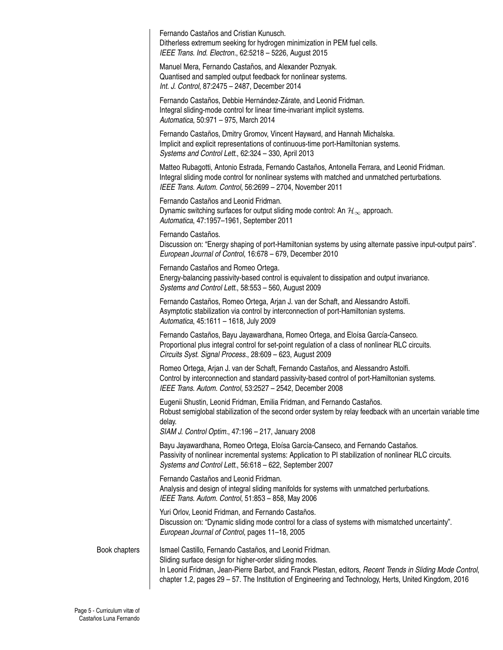Fernando Castaños and Cristian Kunusch. Ditherless extremum seeking for hydrogen minimization in PEM fuel cells. *IEEE Trans. Ind. Electron.*, 62:5218 – 5226, August 2015

Manuel Mera, Fernando Castaños, and Alexander Poznyak. Quantised and sampled output feedback for nonlinear systems. *Int. J. Control*, 87:2475 – 2487, December 2014

Fernando Castaños, Debbie Hernández-Zárate, and Leonid Fridman. Integral sliding-mode control for linear time-invariant implicit systems. *Automatica*, 50:971 – 975, March 2014

Fernando Castaños, Dmitry Gromov, Vincent Hayward, and Hannah Michalska. Implicit and explicit representations of continuous-time port-Hamiltonian systems. *Systems and Control Lett.*, 62:324 – 330, April 2013

Matteo Rubagotti, Antonio Estrada, Fernando Castaños, Antonella Ferrara, and Leonid Fridman. Integral sliding mode control for nonlinear systems with matched and unmatched perturbations. *IEEE Trans. Autom. Control*, 56:2699 – 2704, November 2011

Fernando Castaños and Leonid Fridman. Dynamic switching surfaces for output sliding mode control: An  $\mathcal{H}_{\infty}$  approach. *Automatica*, 47:1957–1961, September 2011

Fernando Castaños.

Discussion on: "Energy shaping of port-Hamiltonian systems by using alternate passive input-output pairs". *European Journal of Control*, 16:678 – 679, December 2010

Fernando Castaños and Romeo Ortega. Energy-balancing passivity-based control is equivalent to dissipation and output invariance. *Systems and Control Lett.*, 58:553 – 560, August 2009

Fernando Castaños, Romeo Ortega, Arjan J. van der Schaft, and Alessandro Astolfi. Asymptotic stabilization via control by interconnection of port-Hamiltonian systems. *Automatica*, 45:1611 – 1618, July 2009

Fernando Castaños, Bayu Jayawardhana, Romeo Ortega, and Eloísa García-Canseco. Proportional plus integral control for set-point regulation of a class of nonlinear RLC circuits. *Circuits Syst. Signal Process.*, 28:609 – 623, August 2009

Romeo Ortega, Arjan J. van der Schaft, Fernando Castaños, and Alessandro Astolfi. Control by interconnection and standard passivity-based control of port-Hamiltonian systems. *IEEE Trans. Autom. Control*, 53:2527 – 2542, December 2008

Eugenii Shustin, Leonid Fridman, Emilia Fridman, and Fernando Castaños. Robust semiglobal stabilization of the second order system by relay feedback with an uncertain variable time delay.

*SIAM J. Control Optim.*, 47:196 – 217, January 2008

Bayu Jayawardhana, Romeo Ortega, Eloísa García-Canseco, and Fernando Castaños. Passivity of nonlinear incremental systems: Application to PI stabilization of nonlinear RLC circuits. *Systems and Control Lett.*, 56:618 – 622, September 2007

Fernando Castaños and Leonid Fridman. Analysis and design of integral sliding manifolds for systems with unmatched perturbations. *IEEE Trans. Autom. Control*, 51:853 – 858, May 2006

Yuri Orlov, Leonid Fridman, and Fernando Castaños. Discussion on: "Dynamic sliding mode control for a class of systems with mismatched uncertainty". *European Journal of Control*, pages 11–18, 2005

Book chapters | Ismael Castillo, Fernando Castaños, and Leonid Fridman.

Sliding surface design for higher-order sliding modes. In Leonid Fridman, Jean-Pierre Barbot, and Franck Plestan, editors, *Recent Trends in Sliding Mode Control*, chapter 1.2, pages 29 – 57. The Institution of Engineering and Technology, Herts, United Kingdom, 2016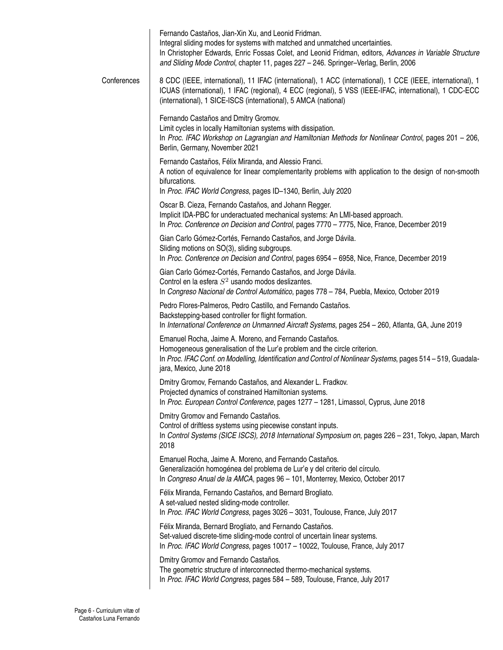|             | Fernando Castaños, Jian-Xin Xu, and Leonid Fridman.<br>Integral sliding modes for systems with matched and unmatched uncertainties.<br>In Christopher Edwards, Enric Fossas Colet, and Leonid Fridman, editors, Advances in Variable Structure<br>and Sliding Mode Control, chapter 11, pages 227 - 246. Springer-Verlag, Berlin, 2006 |
|-------------|----------------------------------------------------------------------------------------------------------------------------------------------------------------------------------------------------------------------------------------------------------------------------------------------------------------------------------------|
| Conferences | 8 CDC (IEEE, international), 11 IFAC (international), 1 ACC (international), 1 CCE (IEEE, international), 1<br>ICUAS (international), 1 IFAC (regional), 4 ECC (regional), 5 VSS (IEEE-IFAC, international), 1 CDC-ECC<br>(international), 1 SICE-ISCS (international), 5 AMCA (national)                                              |
|             | Fernando Castaños and Dmitry Gromov.<br>Limit cycles in locally Hamiltonian systems with dissipation.<br>In Proc. IFAC Workshop on Lagrangian and Hamiltonian Methods for Nonlinear Control, pages 201 - 206,<br>Berlin, Germany, November 2021                                                                                        |
|             | Fernando Castaños, Félix Miranda, and Alessio Franci.<br>A notion of equivalence for linear complementarity problems with application to the design of non-smooth<br>bifurcations.<br>In Proc. IFAC World Congress, pages ID-1340, Berlin, July 2020                                                                                   |
|             | Oscar B. Cieza, Fernando Castaños, and Johann Regger.<br>Implicit IDA-PBC for underactuated mechanical systems: An LMI-based approach.<br>In Proc. Conference on Decision and Control, pages 7770 - 7775, Nice, France, December 2019                                                                                                  |
|             | Gian Carlo Gómez-Cortés, Fernando Castaños, and Jorge Dávila.<br>Sliding motions on SO(3), sliding subgroups.<br>In Proc. Conference on Decision and Control, pages 6954 - 6958, Nice, France, December 2019                                                                                                                           |
|             | Gian Carlo Gómez-Cortés, Fernando Castaños, and Jorge Dávila.<br>Control en la esfera $S^2$ usando modos deslizantes.<br>In Congreso Nacional de Control Automático, pages 778 - 784, Puebla, Mexico, October 2019                                                                                                                     |
|             | Pedro Flores-Palmeros, Pedro Castillo, and Fernando Castaños.<br>Backstepping-based controller for flight formation.<br>In International Conference on Unmanned Aircraft Systems, pages 254 - 260, Atlanta, GA, June 2019                                                                                                              |
|             | Emanuel Rocha, Jaime A. Moreno, and Fernando Castaños.<br>Homogeneous generalisation of the Lur'e problem and the circle criterion.<br>In Proc. IFAC Conf. on Modelling, Identification and Control of Nonlinear Systems, pages 514 - 519, Guadala-<br>jara, Mexico, June 2018                                                         |
|             | Dmitry Gromov, Fernando Castaños, and Alexander L. Fradkov.<br>Projected dynamics of constrained Hamiltonian systems.<br>In Proc. European Control Conference, pages 1277 - 1281, Limassol, Cyprus, June 2018                                                                                                                          |
|             | Dmitry Gromov and Fernando Castaños.<br>Control of driftless systems using piecewise constant inputs.<br>In Control Systems (SICE ISCS), 2018 International Symposium on, pages 226 - 231, Tokyo, Japan, March<br>2018                                                                                                                 |
|             | Emanuel Rocha, Jaime A. Moreno, and Fernando Castaños.<br>Generalización homogénea del problema de Lur'e y del criterio del círculo.<br>In Congreso Anual de la AMCA, pages 96 - 101, Monterrey, Mexico, October 2017                                                                                                                  |
|             | Félix Miranda, Fernando Castaños, and Bernard Brogliato.<br>A set-valued nested sliding-mode controller.<br>In Proc. IFAC World Congress, pages 3026 - 3031, Toulouse, France, July 2017                                                                                                                                               |
|             | Félix Miranda, Bernard Brogliato, and Fernando Castaños.<br>Set-valued discrete-time sliding-mode control of uncertain linear systems.<br>In Proc. IFAC World Congress, pages 10017 - 10022, Toulouse, France, July 2017                                                                                                               |
|             | Dmitry Gromov and Fernando Castaños.<br>The geometric structure of interconnected thermo-mechanical systems.<br>In Proc. IFAC World Congress, pages 584 - 589, Toulouse, France, July 2017                                                                                                                                             |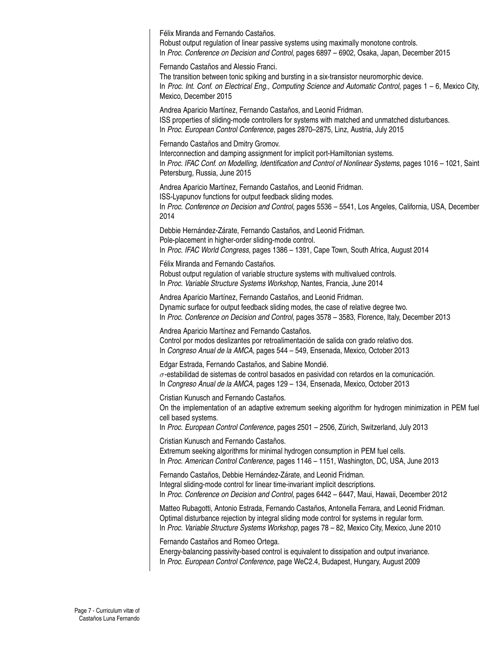Félix Miranda and Fernando Castaños.

Robust output regulation of linear passive systems using maximally monotone controls. In *Proc. Conference on Decision and Control*, pages 6897 – 6902, Osaka, Japan, December 2015

Fernando Castaños and Alessio Franci.

The transition between tonic spiking and bursting in a six-transistor neuromorphic device. In *Proc. Int. Conf. on Electrical Eng., Computing Science and Automatic Control*, pages 1 – 6, Mexico City, Mexico, December 2015

Andrea Aparicio Martínez, Fernando Castaños, and Leonid Fridman. ISS properties of sliding-mode controllers for systems with matched and unmatched disturbances. In *Proc. European Control Conference*, pages 2870–2875, Linz, Austria, July 2015

Fernando Castaños and Dmitry Gromov.

Interconnection and damping assignment for implicit port-Hamiltonian systems. In *Proc. IFAC Conf. on Modelling, Identification and Control of Nonlinear Systems*, pages 1016 – 1021, Saint Petersburg, Russia, June 2015

Andrea Aparicio Martínez, Fernando Castaños, and Leonid Fridman. ISS-Lyapunov functions for output feedback sliding modes.

In *Proc. Conference on Decision and Control*, pages 5536 – 5541, Los Angeles, California, USA, December 2014

Debbie Hernández-Zárate, Fernando Castaños, and Leonid Fridman. Pole-placement in higher-order sliding-mode control. In *Proc. IFAC World Congress*, pages 1386 – 1391, Cape Town, South Africa, August 2014

Félix Miranda and Fernando Castaños. Robust output regulation of variable structure systems with multivalued controls. In *Proc. Variable Structure Systems Workshop*, Nantes, Francia, June 2014

Andrea Aparicio Martínez, Fernando Castaños, and Leonid Fridman. Dynamic surface for output feedback sliding modes, the case of relative degree two. In *Proc. Conference on Decision and Control*, pages 3578 – 3583, Florence, Italy, December 2013

Andrea Aparicio Martínez and Fernando Castaños. Control por modos deslizantes por retroalimentación de salida con grado relativo dos. In *Congreso Anual de la AMCA*, pages 544 – 549, Ensenada, Mexico, October 2013

Edgar Estrada, Fernando Castaños, and Sabine Mondié.  $\sigma$ -estabilidad de sistemas de control basados en pasividad con retardos en la comunicación. In *Congreso Anual de la AMCA*, pages 129 – 134, Ensenada, Mexico, October 2013

Cristian Kunusch and Fernando Castaños.

On the implementation of an adaptive extremum seeking algorithm for hydrogen minimization in PEM fuel cell based systems.

In *Proc. European Control Conference*, pages 2501 – 2506, Zürich, Switzerland, July 2013

Cristian Kunusch and Fernando Castaños.

Extremum seeking algorithms for minimal hydrogen consumption in PEM fuel cells. In *Proc. American Control Conference*, pages 1146 – 1151, Washington, DC, USA, June 2013

Fernando Castaños, Debbie Hernández-Zárate, and Leonid Fridman. Integral sliding-mode control for linear time-invariant implicit descriptions. In *Proc. Conference on Decision and Control*, pages 6442 – 6447, Maui, Hawaii, December 2012

Matteo Rubagotti, Antonio Estrada, Fernando Castaños, Antonella Ferrara, and Leonid Fridman. Optimal disturbance rejection by integral sliding mode control for systems in regular form. In *Proc. Variable Structure Systems Workshop*, pages 78 – 82, Mexico City, Mexico, June 2010

Fernando Castaños and Romeo Ortega.

Energy-balancing passivity-based control is equivalent to dissipation and output invariance. In *Proc. European Control Conference*, page WeC2.4, Budapest, Hungary, August 2009